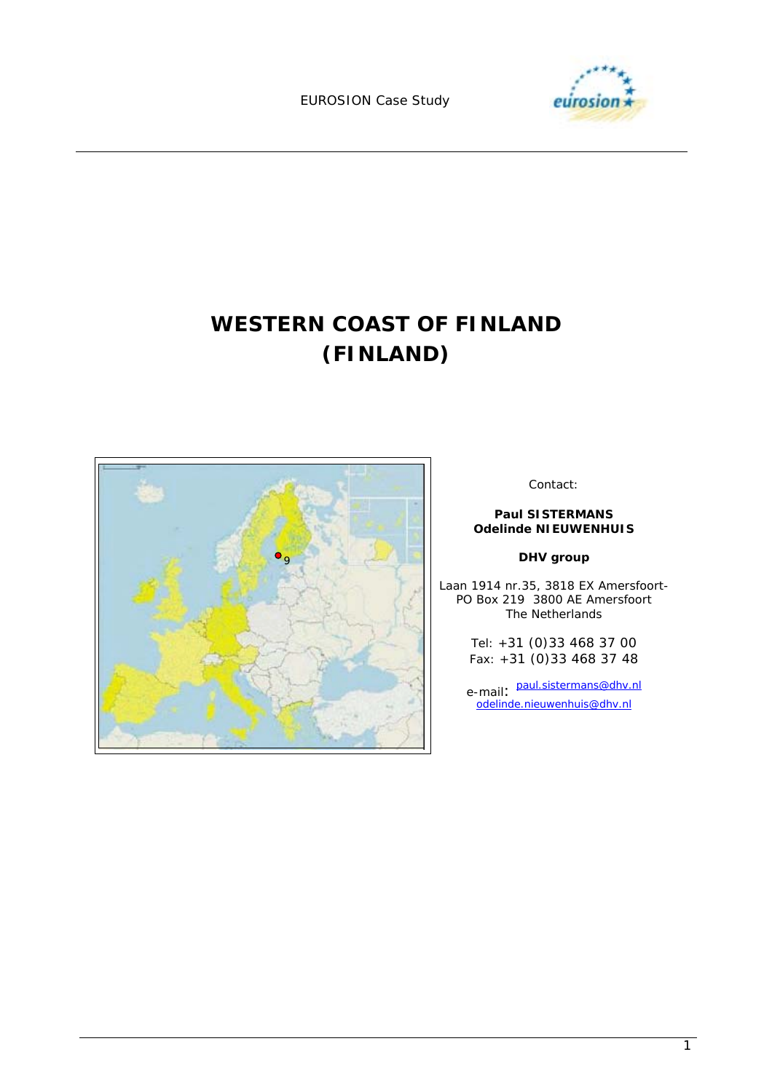EUROSION Case Study



# **WESTERN COAST OF FINLAND (FINLAND)**



Contact:

#### **Paul SISTERMANS Odelinde NIEUWENHUIS**

#### **DHV group**

Laan 1914 nr.35, 3818 EX Amersfoort-PO Box 219 3800 AE Amersfoort The Netherlands

> Tel: +31 (0)33 468 37 00 Fax: +31 (0)33 468 37 48

e-mail: paul.sistermans@dhv.nl odelinde.nieuwenhuis@dhv.nl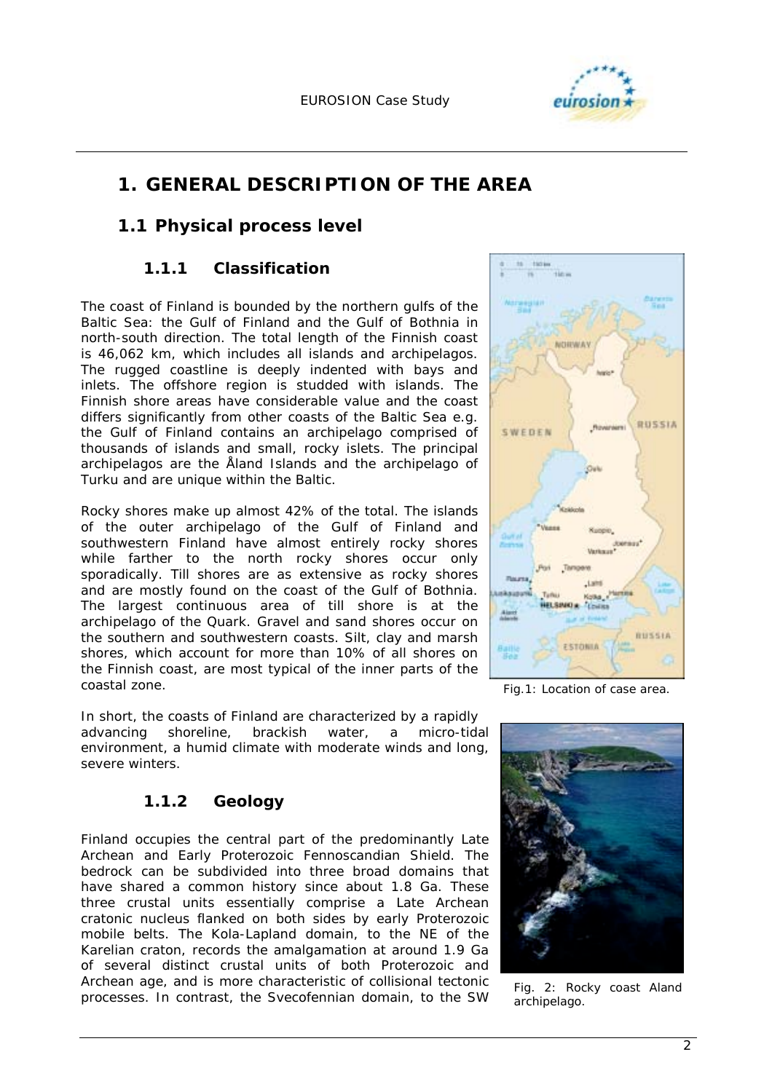

# **1. GENERAL DESCRIPTION OF THE AREA**

### **1.1 Physical process level**

### **1.1.1 Classification**

The coast of Finland is bounded by the northern gulfs of the Baltic Sea: the Gulf of Finland and the Gulf of Bothnia in north-south direction. The total length of the Finnish coast is 46,062 km, which includes all islands and archipelagos. The rugged coastline is deeply indented with bays and inlets. The offshore region is studded with islands. The Finnish shore areas have considerable value and the coast differs significantly from other coasts of the Baltic Sea e.g. the Gulf of Finland contains an archipelago comprised of thousands of islands and small, rocky islets. The principal archipelagos are the Åland Islands and the archipelago of Turku and are unique within the Baltic.

Rocky shores make up almost 42% of the total. The islands of the outer archipelago of the Gulf of Finland and southwestern Finland have almost entirely rocky shores while farther to the north rocky shores occur only sporadically. Till shores are as extensive as rocky shores and are mostly found on the coast of the Gulf of Bothnia. The largest continuous area of till shore is at the archipelago of the Quark. Gravel and sand shores occur on the southern and southwestern coasts. Silt, clay and marsh shores, which account for more than 10% of all shores on the Finnish coast, are most typical of the inner parts of the coastal zone.

In short, the coasts of Finland are characterized by a rapidly advancing shoreline, brackish water, a micro-tidal environment, a humid climate with moderate winds and long, severe winters.

### **1.1.2 Geology**

Finland occupies the central part of the predominantly Late Archean and Early Proterozoic Fennoscandian Shield. The bedrock can be subdivided into three broad domains that have shared a common history since about 1.8 Ga. These three crustal units essentially comprise a Late Archean cratonic nucleus flanked on both sides by early Proterozoic mobile belts. The Kola-Lapland domain, to the NE of the Karelian craton, records the amalgamation at around 1.9 Ga of several distinct crustal units of both Proterozoic and Archean age, and is more characteristic of collisional tectonic processes. In contrast, the Svecofennian domain, to the SW



*Fig.1: Location of case area.* 



*Fig. 2: Rocky coast Aland archipelago.*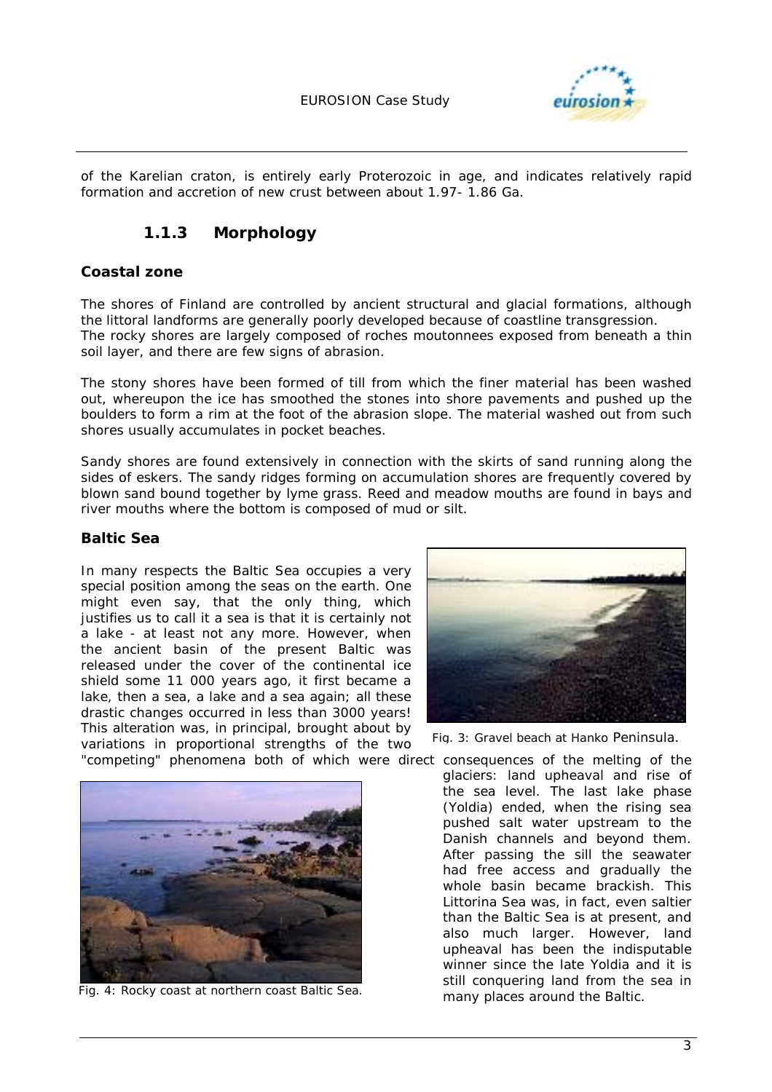

of the Karelian craton, is entirely early Proterozoic in age, and indicates relatively rapid formation and accretion of new crust between about 1.97- 1.86 Ga.

### **1.1.3 Morphology**

#### **Coastal zone**

The shores of Finland are controlled by ancient structural and glacial formations, although the littoral landforms are generally poorly developed because of coastline transgression. The *rocky shores* are largely composed of roches moutonnees exposed from beneath a thin soil layer, and there are few signs of abrasion.

The *stony shores* have been formed of till from which the finer material has been washed out, whereupon the ice has smoothed the stones into shore pavements and pushed up the boulders to form a rim at the foot of the abrasion slope. The material washed out from such shores usually accumulates in pocket beaches.

*Sandy shores* are found extensively in connection with the skirts of sand running along the sides of eskers. The sandy ridges forming on accumulation shores are frequently covered by blown sand bound together by lyme grass. Reed and meadow mouths are found in bays and river mouths where the bottom is composed of mud or silt.

#### **Baltic Sea**

In many respects the Baltic Sea occupies a very special position among the seas on the earth. One might even say, that the only thing, which justifies us to call it a sea is that it is certainly not a lake - at least not any more. However, when the ancient basin of the present Baltic was released under the cover of the continental ice shield some 11 000 years ago, it first became a lake, then a sea, a lake and a sea again; all these drastic changes occurred in less than 3000 years! This alteration was, in principal, brought about by variations in proportional strengths of the two



*Fig. 4: Rocky coast at northern coast Baltic Sea.* 



*Fig. 3: Gravel beach at Hanko Peninsula.*

"competing" phenomena both of which were direct consequences of the melting of the glaciers: land upheaval and rise of the sea level. The last lake phase (Yoldia) ended, when the rising sea pushed salt water upstream to the Danish channels and beyond them. After passing the sill the seawater had free access and gradually the whole basin became brackish. This Littorina Sea was, in fact, even saltier than the Baltic Sea is at present*,* and also much larger. However, land upheaval has been the indisputable winner since the late Yoldia and it is still conquering land from the sea in many places around the Baltic.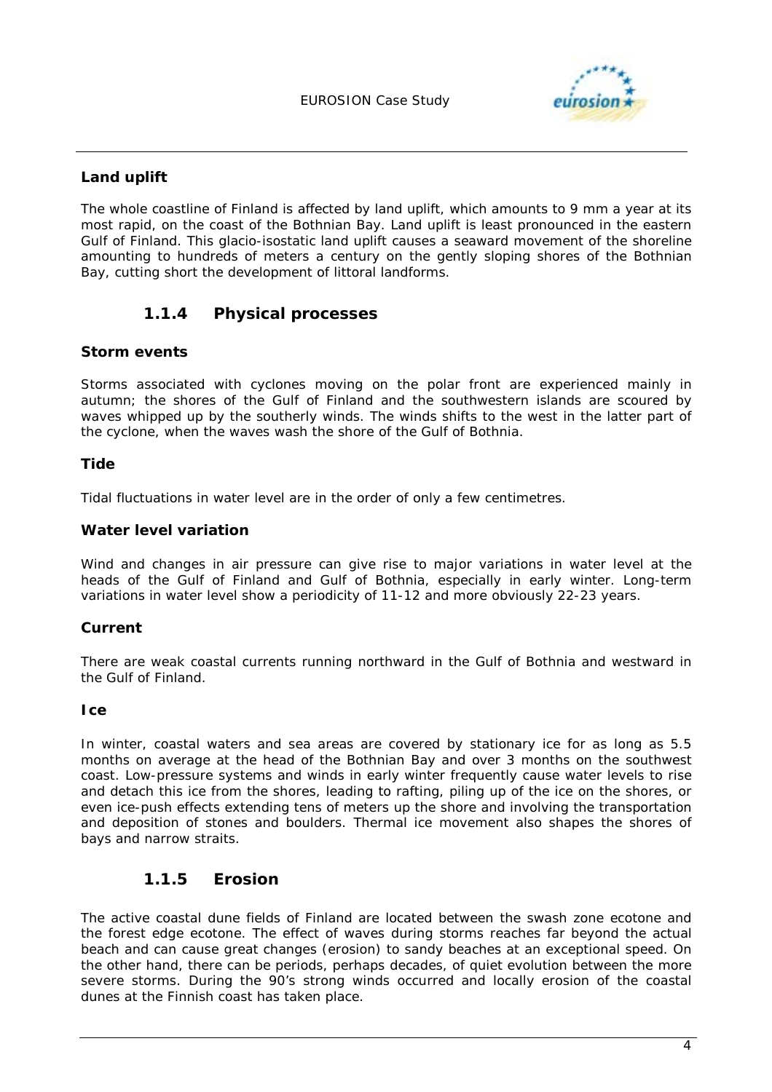

#### **Land uplift**

The whole coastline of Finland is affected by land uplift, which amounts to 9 mm a year at its most rapid, on the coast of the Bothnian Bay. Land uplift is least pronounced in the eastern Gulf of Finland. This glacio-isostatic land uplift causes a seaward movement of the shoreline amounting to hundreds of meters a century on the gently sloping shores of the Bothnian Bay, cutting short the development of littoral landforms.

### **1.1.4 Physical processes**

#### **Storm events**

Storms associated with cyclones moving on the polar front are experienced mainly in autumn; the shores of the Gulf of Finland and the southwestern islands are scoured by waves whipped up by the southerly winds. The winds shifts to the west in the latter part of the cyclone, when the waves wash the shore of the Gulf of Bothnia.

#### **Tide**

Tidal fluctuations in water level are in the order of only a few centimetres.

#### **Water level variation**

Wind and changes in air pressure can give rise to major variations in water level at the heads of the Gulf of Finland and Gulf of Bothnia, especially in early winter. Long-term variations in water level show a periodicity of 11-12 and more obviously 22-23 years.

#### **Current**

There are weak coastal currents running northward in the Gulf of Bothnia and westward in the Gulf of Finland.

#### **Ice**

In winter, coastal waters and sea areas are covered by stationary ice for as long as 5.5 months on average at the head of the Bothnian Bay and over 3 months on the southwest coast. Low-pressure systems and winds in early winter frequently cause water levels to rise and detach this ice from the shores, leading to rafting, piling up of the ice on the shores, or even ice-push effects extending tens of meters up the shore and involving the transportation and deposition of stones and boulders. Thermal ice movement also shapes the shores of bays and narrow straits.

### **1.1.5 Erosion**

The active coastal dune fields of Finland are located between the swash zone ecotone and the forest edge ecotone. The effect of waves during storms reaches far beyond the actual beach and can cause great changes (erosion) to sandy beaches at an exceptional speed. On the other hand, there can be periods, perhaps decades, of quiet evolution between the more severe storms. During the 90's strong winds occurred and locally erosion of the coastal dunes at the Finnish coast has taken place.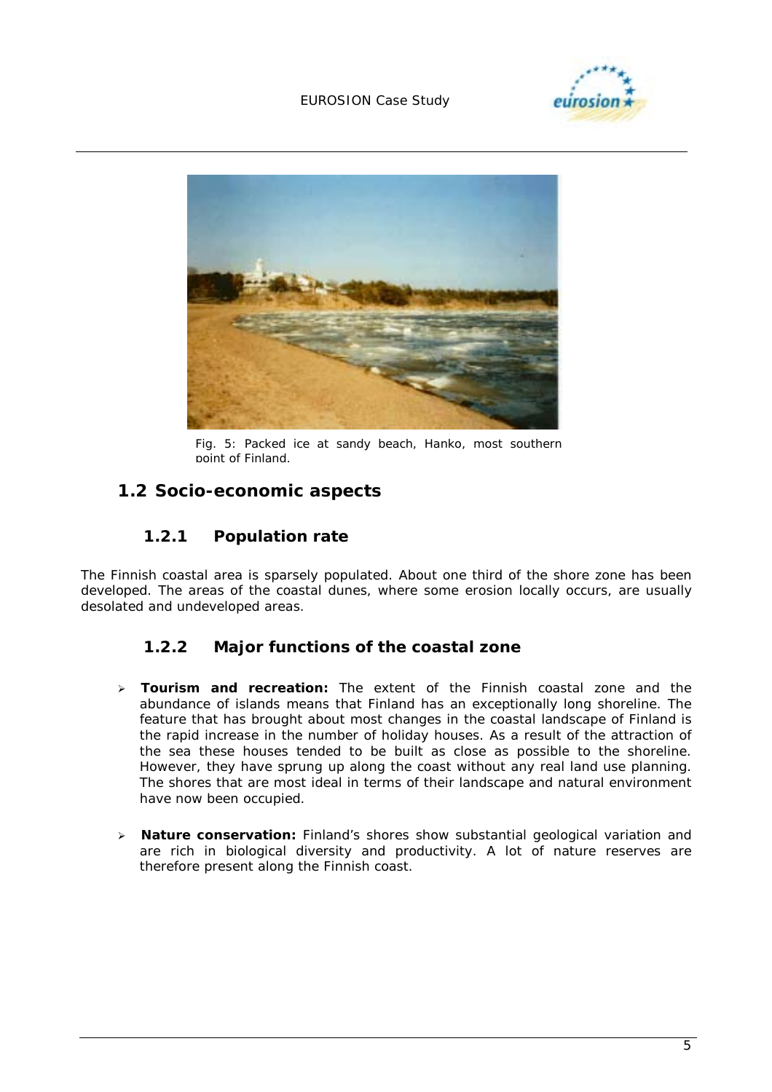#### EUROSION Case Study





*Fig. 5: Packed ice at sandy beach, Hanko, most southern point of Finland.*

### **1.2 Socio-economic aspects**

### **1.2.1 Population rate**

The Finnish coastal area is sparsely populated. About one third of the shore zone has been developed. The areas of the coastal dunes, where some erosion locally occurs, are usually desolated and undeveloped areas.

### **1.2.2 Major functions of the coastal zone**

- > **Tourism and recreation:** The extent of the Finnish coastal zone and the abundance of islands means that Finland has an exceptionally long shoreline. The feature that has brought about most changes in the coastal landscape of Finland is the rapid increase in the number of holiday houses. As a result of the attraction of the sea these houses tended to be built as close as possible to the shoreline. However, they have sprung up along the coast without any real land use planning. The shores that are most ideal in terms of their landscape and natural environment have now been occupied.
- **Nature conservation:** Finland's shores show substantial geological variation and are rich in biological diversity and productivity. A lot of nature reserves are therefore present along the Finnish coast.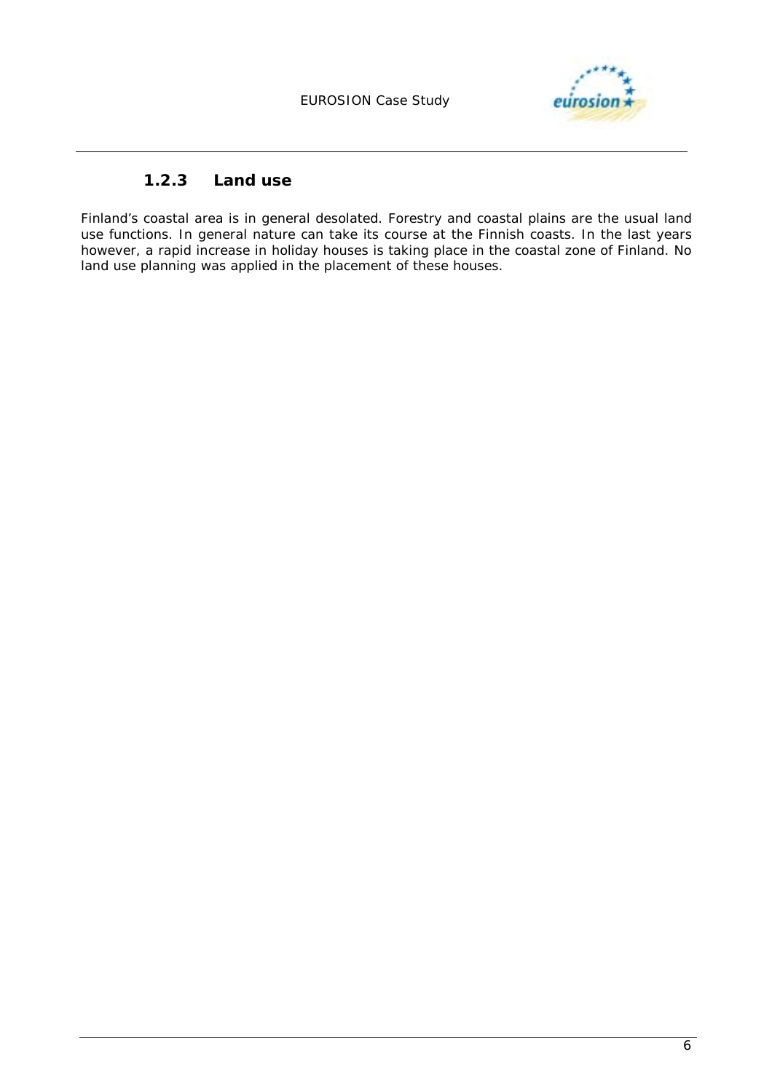

### **1.2.3 Land use**

Finland's coastal area is in general desolated. Forestry and coastal plains are the usual land use functions. In general nature can take its course at the Finnish coasts. In the last years however, a rapid increase in holiday houses is taking place in the coastal zone of Finland. No land use planning was applied in the placement of these houses.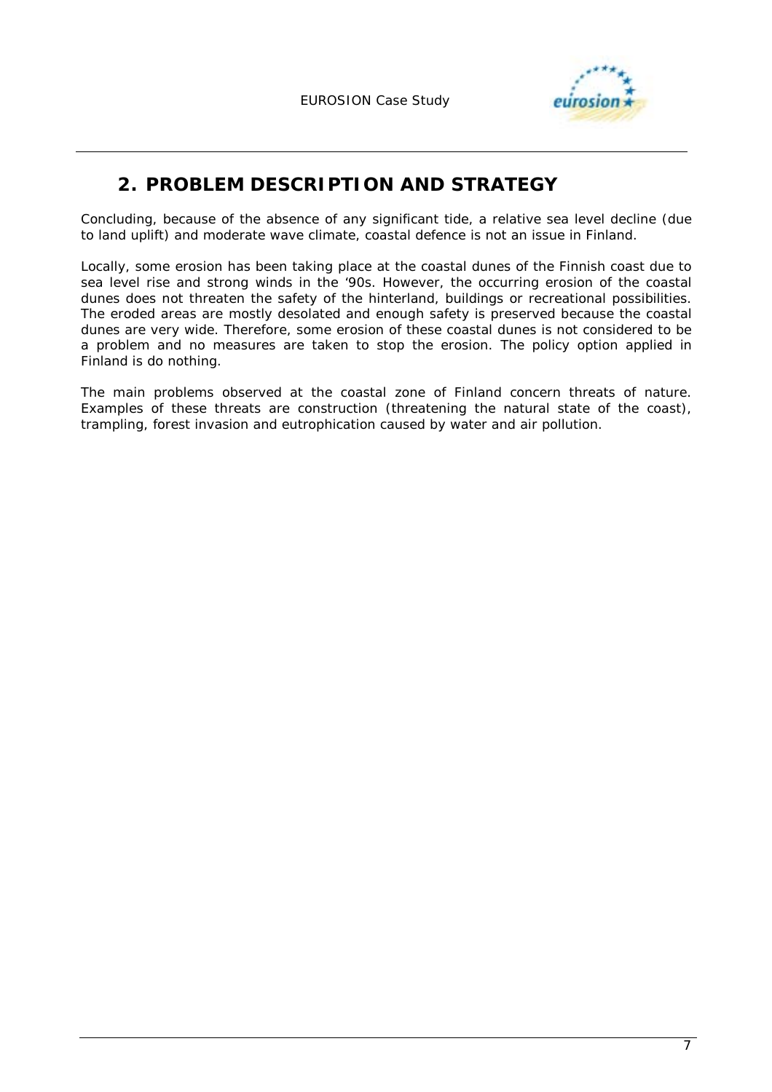

# **2. PROBLEM DESCRIPTION AND STRATEGY**

Concluding, because of the absence of any significant tide, a relative sea level decline (due to land uplift) and moderate wave climate, coastal defence is not an issue in Finland.

Locally, some erosion has been taking place at the coastal dunes of the Finnish coast due to sea level rise and strong winds in the '90s. However, the occurring erosion of the coastal dunes does not threaten the safety of the hinterland, buildings or recreational possibilities. The eroded areas are mostly desolated and enough safety is preserved because the coastal dunes are very wide. Therefore, some erosion of these coastal dunes is not considered to be a problem and no measures are taken to stop the erosion. The policy option applied in Finland is do nothing.

The main problems observed at the coastal zone of Finland concern threats of nature. Examples of these threats are construction (threatening the natural state of the coast), trampling, forest invasion and eutrophication caused by water and air pollution.